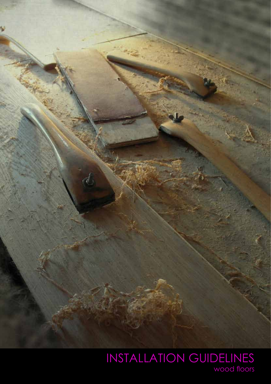

wood floors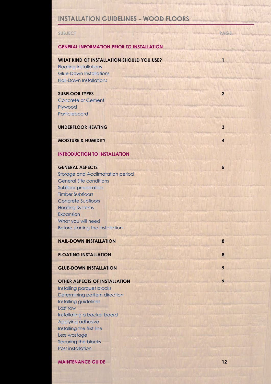# **INSTALLATION GUIDELINES - WOOD FLOORS**

| <b>SUBJECT</b>                                                   | <b>PAGE</b>    |
|------------------------------------------------------------------|----------------|
|                                                                  |                |
| <b>GENERAL INFORMATION PRIOR TO INSTALLATION</b>                 |                |
|                                                                  |                |
| <b>WHAT KIND OF INSTALLATION SHOULD YOU USE?</b>                 | $\mathbf{1}$   |
| <b>Floating Installations</b>                                    |                |
| <b>Glue-Down Installations</b><br><b>Nail-Down Installations</b> |                |
|                                                                  |                |
| <b>SUBFLOOR TYPES</b>                                            | $\overline{2}$ |
| <b>Concrete or Cement</b>                                        |                |
| Plywood                                                          |                |
| Particleboard                                                    |                |
|                                                                  |                |
| <b>UNDERFLOOR HEATING</b>                                        | 3              |
| <b>MOISTURE &amp; HUMIDITY</b>                                   | 4              |
|                                                                  |                |
| <b>INTRODUCTION TO INSTALLATION</b>                              |                |
|                                                                  |                |
| <b>GENERAL ASPECTS</b>                                           | 5              |
| <b>Storage and Acclimatation period</b>                          |                |
| <b>General Site conditions</b>                                   |                |
| Subfloor preparation<br><b>Timber Subfloors</b>                  |                |
| <b>Concrete Subfloors</b>                                        |                |
| <b>Heating Systems</b>                                           |                |
| Expansion                                                        |                |
| What you will need                                               |                |
| Before starting the installation                                 |                |
|                                                                  |                |
| <b>NAIL-DOWN INSTALLATION</b>                                    | 8              |
| <b>FLOATING INSTALLATION</b>                                     | 8              |
|                                                                  |                |
| <b>GLUE-DOWN INSTALLATION</b>                                    | 9              |
|                                                                  |                |
| <b>OTHER ASPECTS OF INSTALLATION</b>                             | 9              |
| Installing parquet blocks                                        |                |
| Determining pattern direction<br>Installing guidelines           |                |
| Last row                                                         |                |
| Installating a backer board                                      |                |
| Applying adhesive                                                |                |
| Installing the first line                                        |                |
| Less wastage                                                     |                |
| Securing the blocks                                              |                |
| Post installation                                                |                |
|                                                                  |                |

**MAINTENANCE GUIDE 12** 

÷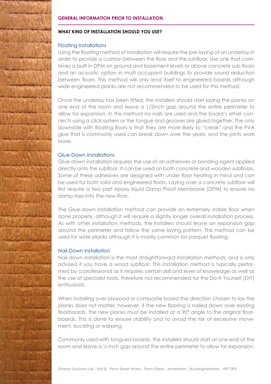

# **WHAT KIND OF INSTALLATION SHOULD YOU USE?**

# Floating Installations

Using the floating method of installation will require the pre-laying of an underlay in order to provide a cushion between the floor and the subfloor. Use one that combines a built in DPM on ground and basement levels or above concrete sub-floors and an acoustic option in multi occupant buildings to provide sound reduction between floors. This method will only lend itself to engineered boards although wide engineered planks are not recommended to be used for this method.

Once the underlay has been fitted, the installers should start laying the planks on one end of the room and leave a 1/2inch gap around the entire perimeter to allow for expansion. In this method no nails are used and the board's ether connects using a click system or the tongue and grooves are glued together. The only downside with floating floors is that they are more likely to "creak" and the PVA glue that is commonly used can break down over the years, and the joints work loose.

# Glue-Down Installations

Glue-down installation requires the use of an adhesives or bonding agent applied directly onto the subfloor. It can be used on both concrete and wooden subfloors. Some of these adhesives are designed with under floor heating in mind and can be used for both solid and engineered floors. Laying over a concrete subfloor will first require a two part epoxy liquid Damp Proof Membrane (DPM) to ensure no damp rises into the new floor.

The Glue-down installation method can provide an extremely stable floor when done properly, although it will require a slightly longer overall installation process. As with other installation methods, the installers should leave an expansion gap around the perimeter and follow the same laying pattern. This method can be used for wide planks although it is mostly common for parquet flooring.

# Nail-Down Installation

Nail-down installation is the most straightforward installation methods, and is only advised if you have a wood subfloor. This installation method is typically performed by a professional as it requires certain skill and level of knowledge as well as the use of specialist tools, therefore not recommended for the Do-It-Yourself (DIY) enthusiasts.

When installing over plywood or composite board the direction chosen to lay the planks does not matter; however, if the new flooring is nailed down over existing floorboards, the new planks must be installed at a 90° angle to the original floorboards. This is done to ensure stability and to avoid the risk of excessive movement, buckling or warping.

Commonly used with tongued boards, the installers should start at one end of the room and leave a ½ inch gap around the entire perimeter to allow for expansion.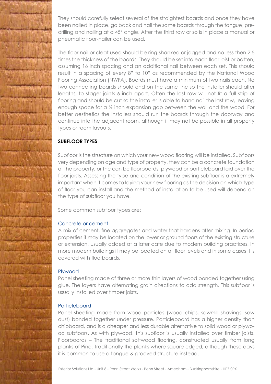They should carefully select several of the straightest boards and once they have been nailed in place, go back and nail the same boards through the tongue, predrilling and nailing at a 45° angle. After the third row or so is in place a manual or pneumatic floor-nailer can be used.

The floor nail or cleat used should be ring-shanked or jagged and no less then 2.5 times the thickness of the boards. They should be set into each floor joist or batten, assuming 16 inch spacing and an additional nail between each set. This should result in a spacing of every 8" to 10" as recommended by the National Wood Flooring Association (NWFA). Boards must have a minimum of two nails each. No two connecting boards should end on the same line so the installer should alter lengths, to stager joints 6 inch apart. Often the last row will not fit a full strip of flooring and should be cut so the installer is able to hand nail the last row, leaving enough space for a ½ inch expansion gap between the wall and the wood. For better aesthetics the installers should run the boards through the doorway and continue into the adjacent room, although it may not be possible in all property types or room layouts.

# **SUBFLOOR TYPES**

Subfloor is the structure on which your new wood flooring will be installed. Subfloors very depending on age and type of property, they can be a concrete foundation of the property, or the can be floorboards, plywood or particleboard laid over the floor joists. Assessing the type and condition of the existing subfloor is a extremely important when it comes to laying your new flooring as the decision on which type of floor you can install and the method of installation to be used will depend on the type of subfloor you have.

Some common subfloor types are:

# Concrete or cement

A mix of cement, fine aggregates and water that hardens after mixing. In period properties it may be located on the lower or ground floors of the existing structure or extension, usually added at a later date due to modern building practices. In more modern buildings it may be located on all floor levels and in some cases it is covered with floorboards.

# Plywood

Panel sheeting made of three or more thin layers of wood bonded together using glue. The layers have alternating grain directions to add strength. This subfloor is usually installed over timber joists.

# Particleboard

Panel sheeting made from wood particles (wood chips, sawmill shavings, saw dust) bonded together under pressure. Particleboard has a higher density than chipboard, and is a cheaper and less durable alternative to solid wood or plywood subfloors. As with plywood, this subfloor is usually installed over timber joists. Floorboards – The traditional softwood flooring, constructed usually from long planks of Pine. Traditionally the planks where square edged, although these days it is common to use a tongue & grooved structure instead.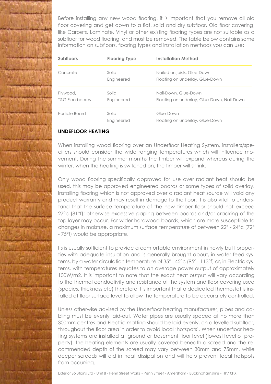Before installing any new wood flooring, it is important that you remove all old floor covering and get down to a flat, solid and dry subfloor. Old floor covering, like Carpets, Laminate, Vinyl or other existing flooring types are not suitable as a subfloor for wood flooring, and must be removed. The table below contains some information on subfloors, flooring types and installation methods you can use:

| <b>Subfloors</b>                       | <b>Flooring Type</b> | <b>Installation Method</b>                                         |
|----------------------------------------|----------------------|--------------------------------------------------------------------|
| Concrete                               | Solid<br>Engineered  | Nailed on joists, Glue-Down<br>Floating on underlay, Glue-Down     |
| Plywood,<br><b>T&amp;G Floorboards</b> | Solid<br>Engineered  | Nail-Down, Glue-Down<br>Floating on underlay, Glue-Down, Nail-Down |
| Particle Board                         | Solid<br>Engineered  | Glue-Down<br>Floating on underlay, Glue-Down                       |

# **UNDEFLOOR HEATING**

When installing wood flooring over an Underfloor Heating System, installers/specifiers should consider the wide ranging temperatures which will influence movement. During the summer months the timber will expand whereas during the winter, when the heating is switched on, the timber will shrink.

Only wood flooring specifically approved for use over radiant heat should be used, this may be approved engineered boards or some types of solid overlay. Installing flooring which is not approved over a radiant heat source will void any product warranty and may result in damage to the floor. It is also vital to understand that the surface temperature of the new timber floor should not exceed 27°c (81°f); otherwise excessive gaping between boards and/or cracking of the top layer may occur. For wider hardwood boards, which are more susceptible to changes in moisture, a maximum surface temperature of between 22° - 24°c (72° - 75°f) would be appropriate.

Its is usually sufficient to provide a comfortable environment in newly built properties with adequate insulation and is generally brought about, in water feed systems, by a water circulation temperature of 35° - 45°c (95° - 113°f) or, in Electric systems, with temperatures equates to an average power output of approximately 100W/m2. It is important to note that the exact heat output will vary according to the thermal conductivity and resistance of the system and floor covering used (species, thickness etc) therefore it is important that a dedicated thermostat is installed at floor surface level to allow the temperature to be accurately controlled.

Unless otherwise advised by the Underfloor heating manufacturer, pipes and cabling must be evenly laid-out. Water pipes are usually spaced at no more than 300mm centres and Electric matting should be laid evenly, on a levelled subfloor, throughout the floor area in order to avoid local 'hotspots'. When underfloor heating systems are installed at ground or basement floor level (lowest level of property), the heating elements are usually covered beneath a screed and the recommended depth of the screed may vary between 30mm and 75mm, while deeper screeds will aid in heat dissipation and will help prevent local hotspots from occurring.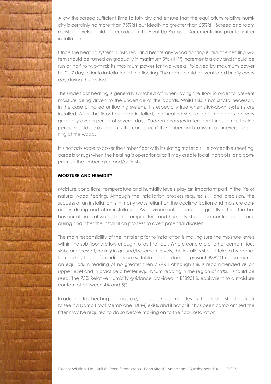

Allow the screed sufficient time to fully dry and ensure that the equilibrium relative humidity is certainly no more than 75%RH but ideally no greater than 65%RH. Screed and room moisture levels should be recorded in the Heat-Up Protocol Documentation prior to timber installation.

Once the heating system is installed, and before any wood flooring is laid, the heating system should be turned on gradually in maximum 5°c (41°f) increments a day and should be run at half to two-thirds its maximum power for two weeks, followed by maximum power for 2 - 7 days prior to installation of the flooring. The room should be ventilated briefly every day during this period.

The underfloor heating is generally switched off when laying the floor in order to prevent moisture being driven to the underside of the boards. Whilst this is not strictly necessary in the case of nailed or floating system, it is especially true when stick-down systems are installed. After the floor has been installed, the heating should be turned back on very gradually over a period of several days. Sudden changes in temperature such as testing period should be avoided as this can 'shock' the timber and cause rapid irreversible setting of the wood.

It is not advisable to cover the timber floor with insulating materials like protective sheeting, carpets or rugs when the heating is operational as it may create local 'hotspots' and compromise the timber, glue and/or finish.

# **MOISTURE AND HUMIDITY**

Moisture conditions, temperature and humidity levels play an important part in the life of natural wood flooring. Although the installation process requires skill and precision, the success of an installation is in many ways reliant on the acclimatisation and moisture conditions during and after installation. As environmental conditions greatly affect the behaviour of natural wood floors, temperature and humidity should be controlled, before, during and after the installation process to avert potential disaster.

The main responsibility of the installer prior to installation is making sure the moisture levels within the sub-floor are low enough to lay the floor. Where concrete or other cementitious slabs are present, mainly in ground/basement levels, the installers should take a hygrometer reading to see if conditions are suitable and no damp is present. BS8201 recommends an equilibrium reading of no greater then 75%RH although this is recommended as an upper level and in practice a better equilibrium reading in the region of 65%RH should be used. The 75% Relative Humidity guidance provided in BS8201 is equivalent to a moisture content of between 4% and 5%.

In addition to checking the moisture, in ground/basement levels the installer should check to see if a Damp Proof Membrane (DPM) exists and if not or if it has been compromised the fitter may be required to do so before moving on to the floor installation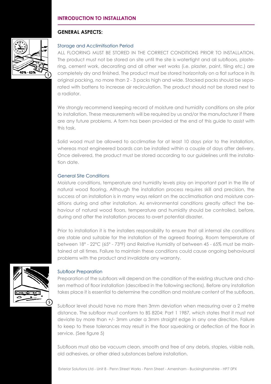# **INTRODUCTION TO INSTALLATION**

# **GENERAL ASPECTS:**



# Storage and Acclimitisation Period

ALL FLOORING MUST BE STORED IN THE CORRECT CONDITIONS PRIOR TO INSTALLATION. The product must not be stored on site until the site is watertight and all subfloors, plastering, cement work, decorating and all other wet works (i.e. plaster, paint, tiling etc.) are completely dry and finished. The product must be stored horizontally on a flat surface in its original packing, no more than 2 - 3 packs high and wide. Stacked packs should be separated with battens to increase air recirculation. The product should not be stored next to a radiator.

We strongly recommend keeping record of moisture and humidity conditions on site prior to installation. These measurements will be required by us and/or the manufacturer if there are any future problems. A form has been provided at the end of this guide to assist with this task.

Solid wood must be allowed to acclimatise for at least 10 days prior to the installation, whereas most engineered boards can be installed within a couple of days after delivery. Once delivered, the product must be stored according to our guidelines until the installation date.

### General Site Conditions

Moisture conditions, temperature and humidity levels play an important part in the life of natural wood flooring. Although the installation process requires skill and precision, the success of an installation is in many ways reliant on the acclimatisation and moisture conditions during and after installation. As environmental conditions greatly affect the behaviour of natural wood floors, temperature and humidity should be controlled, before, during and after the installation process to avert potential disaster.

Prior to installation it is the installers responsibility to ensure that all internal site conditions are stable and suitable for the installation of the agreed flooring. Room temperature of between 18° - 22°C (65° - 73°F) and Relative Humidity of between 45 - 65% must be maintained at all times. Failure to maintain these conditions could cause ongoing behavioural problems with the product and invalidate any warranty.



### Subfloor Preparation

Preparation of the subfloors will depend on the condition of the existing structure and chosen method of floor installation (described in the following sections). Before any installation takes place it is essential to determine the condition and moisture content of the subfloors.

Subfloor level should have no more then 3mm deviation when measuring over a 2 metre distance. The subfloor must conform to BS 8204: Part 1 1987, which states that it must not deviate by more than +/- 3mm under a 3mm straight edge in any one direction. Failure to keep to these tolerances may result in the floor squeaking or deflection of the floor in service. (See figure 5)

Subfloors must also be vacuum clean, smooth and free of any debris, staples, visible nails, old adhesives, or other dried substances before installation.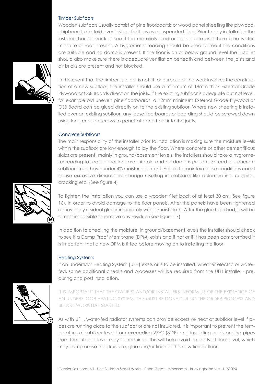### Timber Subfloors

Wooden subfloors usually consist of pine floorboards or wood panel sheeting like plywood, chipboard, etc. laid over joists or battens as a suspended floor. Prior to any installation the installer should check to see if the materials used are adequate and there is no water, moisture or root present. A hygrometer reading should be used to see if the conditions are suitable and no damp is present. If the floor is on or below ground level the installer should also make sure there is adequate ventilation beneath and between the joists and air bricks are present and not blocked.



In the event that the timber subfloor is not fit for purpose or the work involves the construction of a new subfloor, the installer should use a minimum of 18mm thick External Grade Plywood or OSB Boards direct on the joists. If the existing subfloor is adequate but not level, for example old uneven pine floorboards, a 12mm minimum External Grade Plywood or OSB Board can be glued directly on to the existing subfloor. Where new sheeting is installed over an existing subfloor, any loose floorboards or boarding should be screwed down using long enough screws to penetrate and hold into the joists.

### Concrete Subfloors

The main responsibility of the installer prior to installation is making sure the moisture levels within the subfloor are low enough to lay the floor. Where concrete or other cementitious slabs are present, mainly in ground/basement levels, the installers should take a hygrometer reading to see if conditions are suitable and no damp is present. Screed or concrete subfloors must have under 4% moisture content. Failure to maintain these conditions could cause excessive dimensional change resulting in problems like delaminating, cupping, cracking etc. (See figure 4)

To tighten the installation you can use a wooden fillet bock of at least 30 cm (See figure 16), In order to avoid damage to the floor panels. After the panels have been tightened remove any residual glue immediately with a moist cloth. After the glue has dried, it will be almost impossible to remove any residue (See figure 17)

In addition to checking the moisture, in ground/basement levels the installer should check to see if a Damp Proof Membrane (DPM) exists and if not or if it has been compromised it is important that a new DPM is fitted before moving on to installing the floor.

#### Heating Systems

If an Underfloor Heating System (UFH) exists or is to be installed, whether electric or waterfed, some additional checks and processes will be required from the UFH installer - pre, during and post installation.



IT IS IMPORTANT THAT THE OWNERS AND/OR INSTALLERS INFORM US OF THE EXISTANCE OF AN UNDERFLOOR HEATING SYSTEM. THIS MUST BE DONE DURING THE ORDER PROCESS AND BEFORE WORK HAS STARTED.

As with UFH, water-fed radiator systems can provide excessive heat at subfloor level if pipes are running close to the subfloor or are not insulated. It is important to prevent the temperature at subfloor level from exceeding 27°C (81°F) and insulating or distancing pipes from the subfloor level may be required. This will help avoid hotspots at floor level, which may compromise the structure, glue and/or finish of the new timber floor.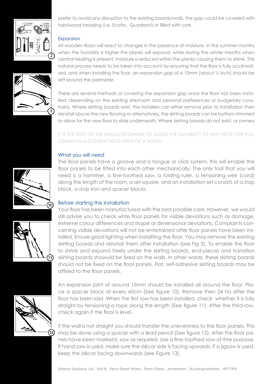

prefer to avoid any disruption to the existing boards/walls, the gap could be covered with hardwood beading (i.e. Scotia , Quadrant) or filled with cork.

# **Expansion**



All wooden floors will react to changes in the presence of moisture. In the summer months when the humidity is higher the planks will expand, while during the winter months when central heating is present, moisture is reduced within the planks causing them to shrink. This natural process needs to be taken into account by ensuring that the floor is fully acclimatised, and when installing the floor, an expansion gap of 6-10mm (about ½ Inch) should be left around the perimeter.

There are several methods of covering the expansion gap once the floor has been installed, depending on the existing site/room and personal preferences or budgetary constrains. Where skirting boards exist, the installers can ether remove prior to installation then reinstall above the new flooring or alternatively, the skirting boards can be bottom-trimmed to allow for the new floor to slide underneath. Where skirting boards do not exist, or owners

IT IS THE DUTY OF THE INSTALLER/OWNER TO JUDGE THE SUITABILITY OF ANY PIECE FOR PLA-CEMENT IN A CONSPICUOUS AREA OF A ROOM

# What you will need



The floor panels have a groove and a tongue or click system, this will enable the floor panels to be fitted into each other mechanically. The only tool that you will need is a hammer, a fine-toothed saw, a folding ruler, a tensioning wire (cord) along the length of the room, a set square, and an installation set consists of a stop block, a stop iron and spacer blocks.

# Before starting the installation





11

An expansion joint of around 15mm should be installed all around the floor. Place a spacer block at every 60cm (See figure 10). Remove then 24 hrs after the floor has been laid. When the first row has been installed, check whether it is fully straight by tensioning a rope along the length (See figure 11). After the third row, check again if the floor is level.

If the wall is not straight you should transfer the unevenness to the floor panels. This may be done using a spacer with a lead pencil (See figure 12). After the floor panels have been marketd, saw as required. Use a fine-toothed saw of rhte purpose. If hand saw is used, make sure the décor side is facing upwards; if a jigsaw is used, keep the décor facing downwards (see Figure 13).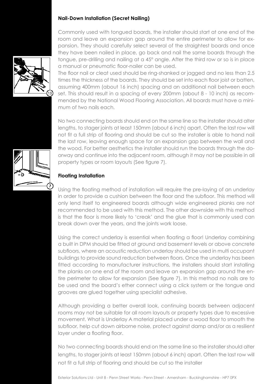## **Nail-Down Installation (Secret Nailing)**

Commonly used with tongued boards, the installer should start at one end of the room and leave an expansion gap around the entire perimeter to allow for expansion. They should carefully select several of the straightest boards and once they have been nailed in place, go back and nail the same boards through the tongue, pre-drilling and nailing at a 45° angle. After the third row or so is in place a manual or pneumatic floor-nailer can be used.

The floor nail or cleat used should be ring-shanked or jagged and no less than 2.5 times the thickness of the boards. They should be set into each floor joist or batten, assuming 400mm (about 16 inch) spacing and an additional nail between each set. This should result in a spacing of every 200mm (about 8 - 10 inch) as recommended by the National Wood Flooring Association. All boards must have a minimum of two nails each.

No two connecting boards should end on the same line so the installer should alter lengths, to stager joints at least 150mm (about 6 inch) apart. Often the last row will not fit a full strip of flooring and should be cut so the installer is able to hand nail the last row, leaving enough space for an expansion gap between the wall and the wood. For better aesthetics the installer should run the boards through the doorway and continue into the adjacent room, although it may not be possible in all property types or room layouts (See figure 7).

# **Floating Installation**

Using the floating method of installation will require the pre-laying of an underlay in order to provide a cushion between the floor and the subfloor. This method will only lend itself to engineered boards although wide engineered planks are not recommended to be used with this method. The other downside with this method is that the floor is more likely to 'creak' and the glue that is commonly used can break down over the years, and the joints work loose.

Using the correct underlay is essential when floating a floor! Underlay combining a built in DPM should be fitted at ground and basement levels or above concrete subfloors, where an acoustic reduction underlay should be used in multi occupant buildings to provide sound reduction between floors. Once the underlay has been fitted according to manufacturer instructions, the installers should start installing the planks on one end of the room and leave an expansion gap around the entire perimeter to allow for expansion (See figure 7). In this method no nails are to be used and the board's ether connect using a click system or the tongue and grooves are glued together using specialist adhesive.

Although providing a better overall look, continuing boards between adjacent rooms may not be suitable for all room layouts or property types due to excessive movement. What is Underlay A material placed under a wood floor to smooth the subfloor, help cut down airborne noise, protect against damp and/or as a resilient layer under a floating floor.

No two connecting boards should end on the same line so the installer should alter lengths, to stager joints at least 150mm (about 6 inch) apart. Often the last row will not fit a full strip of flooring and should be cut so the installer



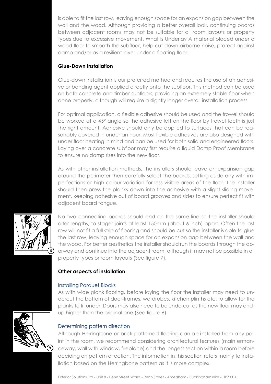is able to fit the last row, leaving enough space for an expansion gap between the wall and the wood. Although providing a better overall look, continuing boards between adjacent rooms may not be suitable for all room layouts or property types due to excessive movement. What is Underlay A material placed under a wood floor to smooth the subfloor, help cut down airborne noise, protect against damp and/or as a resilient layer under a floating floor.

# **Glue-Down Installation**

Glue-down installation is our preferred method and requires the use of an adhesive or bonding agent applied directly onto the subfloor. This method can be used on both concrete and timber subfloors, providing an extremely stable floor when done properly, although will require a slightly longer overall installation process.

For optimal application, a flexible adhesive should be used and the trowel should be worked at a 45° angle so the adhesive left on the floor by trowel teeth is just the right amount. Adhesive should only be applied to surfaces that can be reasonably covered in under an hour. Most flexible adhesives are also designed with under floor heating in mind and can be used for both solid and engineered floors. Laying over a concrete subfloor may first require a liquid Damp Proof Membrane to ensure no damp rises into the new floor.

As with other installation methods, the installers should leave an expansion gap around the perimeter then carefully select the boards, setting aside any with imperfections or high colour variation for less visible areas of the floor. The installer should then press the planks down into the adhesive with a slight sliding movement, keeping adhesive out of board grooves and sides to ensure perfect fit with adjacent board tongue.



No two connecting boards should end on the same line so the installer should alter lengths, to stager joints at least 150mm (about 6 inch) apart. Often the last row will not fit a full strip of flooring and should be cut so the installer is able to glue the last row, leaving enough space for an expansion gap between the wall and the wood. For better aesthetics the installer should run the boards through the doorway and continue into the adjacent room, although it may not be possible in all property types or room layouts (See figure 7).

# **Other aspects of installation**

### Installing Parquet Blocks

As with wide plank flooring, before laying the floor the installer may need to undercut the bottom of door-frames, wardrobes, kitchen plinths etc. to allow for the planks to fit under. Doors may also need to be undercut as the new floor may endup higher than the original one (See figure 6).

# Determining pattern direction

Although Herringbone or brick patterned flooring can be installed from any point in the room, we recommend considering architectural features (main entranceway, wall with window, fireplace) and the longest section within a room before deciding on pattern direction. The information in this section refers mainly to installation based on the Herringbone pattern as it is more complex.

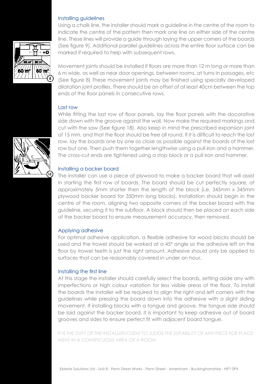### Installing guidelines



Using a chalk line, the installer should mark a guideline in the centre of the room to indicate the centre of the pattern then mark one line on either side of the centre line. These lines will provide a guide through laying the upper corners of the boards (See figure 9). Additional parallel guidelines across the entire floor surface can be marked if required to help with subsequent rows.

Movement joints should be installed if floors are more than 12 m long or more than 6 m wide, as well as near door openings, between rooms, at turns in passages, etc (See figure 8) These movement joints may be finished using specially developed dilatation joint profiles. There should be an offset of at least 40cm between the top ends of the floor panels in consecutive rows.

### Last row

While fitting the last row of floor panels, lay the floor panels with the docorative side down with the groove against the wall. Now make the required markings and cut with the saw (See figure 18). Also keep in mind the prescribed expansion joint of 15 mm, and that the floor should be free all round. If it is difficult to reach the last row, lay the boards one by one as close as possible against the boards of the last row but one. Then push them together lengthwise using a pull iron and a hammer. The cross-cut ends are tightened using a stop block or a pull iron and hammer.

### Installing a backer board

The installer can use a piece of plywood to make a backer board that will assist in starting the first row of boards. The board should be cut perfectly square, at approximately 5mm shorter then the length of the block (i.e. 345mm x 345mm plywood backer board for 350mm long blocks). Installation should begin in the centre of the room, aligning two opposite corners of the backer board with the guideline, securing it to the subfloor. A block should then be placed on each side of the backer board to ensure measurement accuracy, then removed.

#### Applying adhesive

For optimal adhesive application, a flexible adhesive for wood blocks should be used and the trowel should be worked at a 45° angle so the adhesive left on the floor by trowel teeth is just the right amount. Adhesive should only be applied to surfaces that can be reasonably covered in under an hour.

#### Installing the first line

At this stage the installer should carefully select the boards, setting aside any with imperfections or high colour variation for less visible areas of the floor. To install the boards the installer will be required to align the right and left corners with the guidelines while pressing the board down into the adhesive with a slight sliding movement. If installing blocks with a tongue and groove, the tongue side should be laid against the backer board. It is important to keep adhesive out of board grooves and sides to ensure perfect fit with adjacent board tongue.

IT IS THE DUTY OF THE INSTALLER/CLIENT TO JUDGE THE SUITABILITY OF ANY PIECE FOR PLACE-MENT IN A CONSPICUOUS AREA OF A ROOM

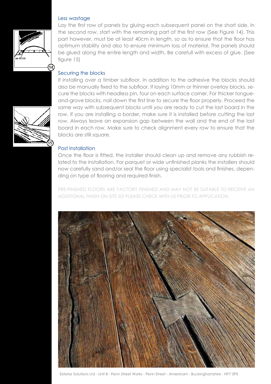### Less wastage



Lay the first row of panels by gluing each subsequent panel on the short side. In the second row, start with the remaining part of the first row (See Figure 14). This part however, must be at least 40cm in length, so as to ensure that the floor has optimum stability and also to ensure minimum loss of material. The panels should be glued along the entire length and width. Be carefull with excess of glue. (See figure 15)

# Securing the blocks

If installing over a timber subfloor, in addition to the adhesive the blocks should also be manually fixed to the subfloor. If laying 10mm or thinner overlay blocks, secure the blocks with headless pin, four on each surface corner. For thicker tongueand-grove blocks, nail down the first line to secure the floor properly. Proceed the same way with subsequent blocks until you are ready to cut the last board in the row. If you are installing a border, make sure it is installed before cutting the last row. Always leave an expansion gap between the wall and the end of the last board in each row. Make sure to check alignment every row to ensure that the blocks are still square.

# Post Installation

Once the floor is fitted, the installer should clean up and remove any rubbish related to the installation. For parquet or wide unfinished planks the installers should now carefully sand and/or seal the floor using specialist tools and finishes, depending on type of flooring and required finish.

PRE-FINISHED FLOORS ARE FACTORY FINISHED AND MAY NOT BE SUITABLE TO RECEIVE AN ADDITIONAL FINISH ON SITE SO PLEASE CHECK WITH US PRIOR TO APPLICATION.

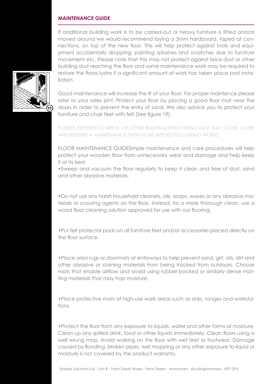### **MAINTENANCE GUIDE**

If additional building work is to be carried-out or heavy furniture is fitted and/or moved around we would recommend laying a 3mm hardboard, taped at connections, on top of the new floor. This will help protect against tools and equipment accidentally dropping, painting splashes and scratches due to furniture movement etc. Please note that this may not protect against brick-dust or other building dust reaching the floor and some maintenance work may be required to restore the floors lustre if a significant amount of work has taken place post installation.



Good maintenance will increase the lif of your floor. For proper maintence please refer to your sales pint. Protect your floor by placing a good floor mat near the doors in order to prevent the entry of sand. We also advice you to protect your furniture and chair feet with felt (See figure 19).

FLOORS EXPOSED TO BRICK OR OTHER BUILDING/RENOVATING DUST MAY LOOSE LUSTRE AND REQUIRE A MAINTENANCE FINISH TO BE APPLIED FOLLOWING WORKS.

FLOOR MAINTENANCE GUIDESimple maintenance and care procedures will help protect your wooden floor from unnecessary wear and damage and help keep it at its best:

•Sweep and vacuum the floor regularly to keep it clean and free of dust, sand and other abrasive materials.

•Do not use any harsh household cleaners, oils, soaps, waxes or any abrasive materials or scouring agents on the floor. Instead, for a more thorough clean, use a wood floor cleaning solution approved for use with our flooring.

•Put felt protector pads on all furniture feet and/or accessories placed directly on the floor surface.

•Place area rugs or doormats at entryways to help prevent sand, grit, oils, dirt and other abrasive or staining materials from being tracked from outdoors. Choose mats that enable airflow and avoid using rubber-backed or similarly dense matting materials that may trap moisture.

•Place protective mats at high-use work areas such as sinks, ranges and workstations.

•Protect the floor from any exposure to liquids, water and other forms of moisture. Clean up any spilled drink, food or other liquids immediately. Clean floors using a well wrung mop. Avoid walking on the floor with wet feet or footwear. Damage caused by flooding, broken pipes, wet mopping or any other exposure to liquid or moisture is not covered by the product warranty.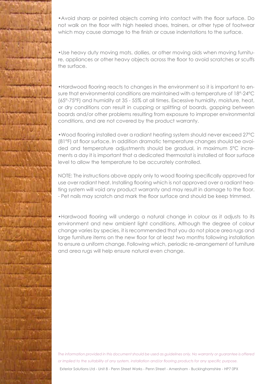

•Avoid sharp or pointed objects coming into contact with the floor surface. Do not walk on the floor with high heeled shoes, trainers, or other type of footwear which may cause damage to the finish or cause indentations to the surface.

•Use heavy duty moving mats, dollies, or other moving aids when moving furniture, appliances or other heavy objects across the floor to avoid scratches or scuffs the surface.

•Hardwood flooring reacts to changes in the environment so it is important to ensure that environmental conditions are maintained with a temperature of 18°-24°C (65°-75°F) and humidity at 35 - 55% at all times. Excessive humidity, moisture, heat, or dry conditions can result in cupping or splitting of boards, gapping between boards and/or other problems resulting from exposure to improper environmental conditions, and are not covered by the product warranty.

•Wood flooring installed over a radiant heating system should never exceed 27°C (81°F) at floor surface. In addition dramatic temperature changes should be avoided and temperature adjustments should be gradual, in maximum 5°C increments a day it is important that a dedicated thermostat is installed at floor surface level to allow the temperature to be accurately controlled.

NOTE: The instructions above apply only to wood flooring specifically approved for use over radiant heat. Installing flooring which is not approved over a radiant heating system will void any product warranty and may result in damage to the floor. - Pet nails may scratch and mark the floor surface and should be keep trimmed.

•Hardwood flooring will undergo a natural change in colour as it adjusts to its environment and new ambient light conditions. Although the degree of colour change varies by species, it is recommended that you do not place area rugs and large furniture items on the new floor for at least two months following installation to ensure a uniform change. Following which, periodic re-arrangement of furniture and area rugs will help ensure natural even change.

*The information provided in this document should be used as guidelines only. No warranty or guarantee is offered or implied to the suitability of any system, installation and/or flooring products for any specific purpose.* 

Exterior Solutions Ltd - Unit 8 - Penn Street Works - Penn Street - Amersham - Buckinghamshire - HP7 0PX